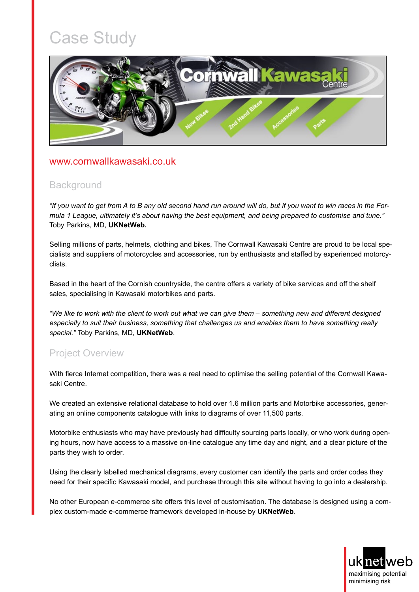# Case Study



#### [www.cornwallkawasaki.co.uk](http://www.cornwallkawasaki.co.uk/)

### **Background**

*"If you want to get from A to B any old second hand run around will do, but if you want to win races in the Formula 1 League, ultimately it's about having the best equipment, and being prepared to customise and tune."*  Toby Parkins, MD, **UKNetWeb.**

Selling millions of parts, helmets, clothing and bikes, The Cornwall Kawasaki Centre are proud to be local specialists and suppliers of motorcycles and accessories, run by enthusiasts and staffed by experienced motorcyclists.

Based in the heart of the Cornish countryside, the centre offers a variety of bike services and off the shelf sales, specialising in Kawasaki motorbikes and parts.

*"We like to work with the client to work out what we can give them – something new and different designed especially to suit their business, something that challenges us and enables them to have something really special."* Toby Parkins, MD, **UKNetWeb**.

## Project Overview

With fierce Internet competition, there was a real need to optimise the selling potential of the Cornwall Kawasaki Centre.

We created an extensive relational database to hold over 1.6 million parts and Motorbike accessories, generating an online components catalogue with links to diagrams of over 11,500 parts.

Motorbike enthusiasts who may have previously had difficulty sourcing parts locally, or who work during opening hours, now have access to a massive on-line catalogue any time day and night, and a clear picture of the parts they wish to order.

Using the clearly labelled mechanical diagrams, every customer can identify the parts and order codes they need for their specific Kawasaki model, and purchase through this site without having to go into a dealership.

No other European e-commerce site offers this level of customisation. The database is designed using a complex custom-made e-commerce framework developed in-house by **UKNetWeb**.